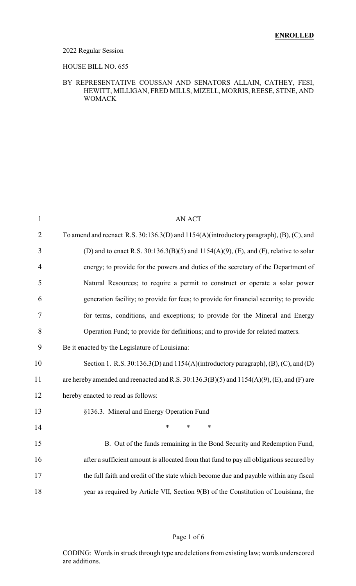### 2022 Regular Session

#### HOUSE BILL NO. 655

### BY REPRESENTATIVE COUSSAN AND SENATORS ALLAIN, CATHEY, FESI, HEWITT, MILLIGAN, FRED MILLS, MIZELL, MORRIS, REESE, STINE, AND WOMACK

| $\mathbf{1}$   | <b>AN ACT</b>                                                                                  |
|----------------|------------------------------------------------------------------------------------------------|
| $\overline{2}$ | To amend and reenact R.S. 30:136.3(D) and 1154(A)(introductory paragraph), (B), (C), and       |
| 3              | (D) and to enact R.S. $30:136.3(B)(5)$ and $1154(A)(9)$ , (E), and (F), relative to solar      |
| 4              | energy; to provide for the powers and duties of the secretary of the Department of             |
| 5              | Natural Resources; to require a permit to construct or operate a solar power                   |
| 6              | generation facility; to provide for fees; to provide for financial security; to provide        |
| 7              | for terms, conditions, and exceptions; to provide for the Mineral and Energy                   |
| 8              | Operation Fund; to provide for definitions; and to provide for related matters.                |
| 9              | Be it enacted by the Legislature of Louisiana:                                                 |
| 10             | Section 1. R.S. $30:136.3(D)$ and $1154(A)$ (introductory paragraph), (B), (C), and (D)        |
| 11             | are hereby amended and reenacted and R.S. $30:136.3(B)(5)$ and $1154(A)(9)$ , (E), and (F) are |
| 12             | hereby enacted to read as follows:                                                             |
| 13             | §136.3. Mineral and Energy Operation Fund                                                      |
| 14             | $\ast$<br>$\ast$<br>$\ast$                                                                     |
| 15             | B. Out of the funds remaining in the Bond Security and Redemption Fund,                        |
| 16             | after a sufficient amount is allocated from that fund to pay all obligations secured by        |
| 17             | the full faith and credit of the state which become due and payable within any fiscal          |
| 18             | year as required by Article VII, Section 9(B) of the Constitution of Louisiana, the            |

## Page 1 of 6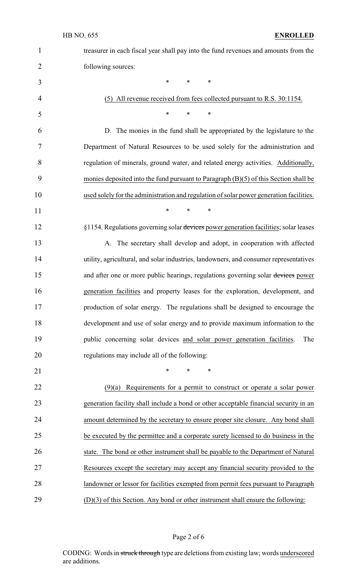| $\mathbf{1}$   | treasurer in each fiscal year shall pay into the fund revenues and amounts from the     |
|----------------|-----------------------------------------------------------------------------------------|
| $\overline{2}$ | following sources:                                                                      |
| 3              | $\ast$<br>$\ast$<br>∗                                                                   |
| $\overline{4}$ | (5) All revenue received from fees collected pursuant to R.S. 30:1154.                  |
| 5              | $\ast$<br>$\ast$<br>∗                                                                   |
| 6              | D. The monies in the fund shall be appropriated by the legislature to the               |
| 7              | Department of Natural Resources to be used solely for the administration and            |
| 8              | regulation of minerals, ground water, and related energy activities. Additionally,      |
| 9              | monies deposited into the fund pursuant to Paragraph $(B)(5)$ of this Section shall be  |
| 10             | used solely for the administration and regulation of solar power generation facilities. |
| 11             | $\ast$<br>$\ast$<br>∗                                                                   |
| 12             | §1154. Regulations governing solar devices power generation facilities; solar leases    |
| 13             | A. The secretary shall develop and adopt, in cooperation with affected                  |
| 14             | utility, agricultural, and solar industries, landowners, and consumer representatives   |
| 15             | and after one or more public hearings, regulations governing solar devices power        |
| 16             | generation facilities and property leases for the exploration, development, and         |
| 17             | production of solar energy. The regulations shall be designed to encourage the          |
| 18             | development and use of solar energy and to provide maximum information to the           |
| 19             | public concerning solar devices and solar power generation facilities.<br>The           |
| 20             | regulations may include all of the following:                                           |
| 21             | $\ast$<br>*<br>∗                                                                        |
| 22             | $(9)(a)$ Requirements for a permit to construct or operate a solar power                |
| 23             | generation facility shall include a bond or other acceptable financial security in an   |
| 24             | amount determined by the secretary to ensure proper site closure. Any bond shall        |
| 25             | be executed by the permittee and a corporate surety licensed to do business in the      |
| 26             | state. The bond or other instrument shall be payable to the Department of Natural       |
| 27             | Resources except the secretary may accept any financial security provided to the        |
| 28             | landowner or lessor for facilities exempted from permit fees pursuant to Paragraph      |
| 29             | $(D)(3)$ of this Section. Any bond or other instrument shall ensure the following:      |

Page 2 of 6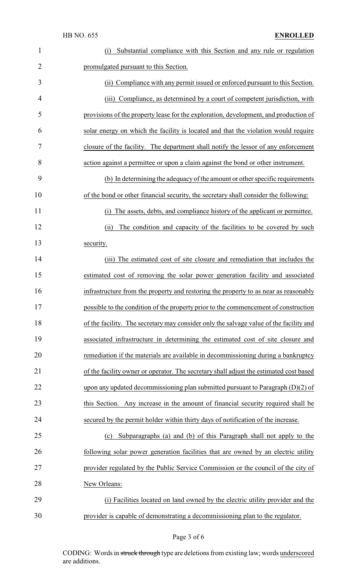| $\mathbf{1}$   | Substantial compliance with this Section and any rule or regulation<br>(i)             |
|----------------|----------------------------------------------------------------------------------------|
| $\overline{2}$ | promulgated pursuant to this Section.                                                  |
| 3              | (ii) Compliance with any permit issued or enforced pursuant to this Section.           |
| $\overline{4}$ | (iii) Compliance, as determined by a court of competent jurisdiction, with             |
| 5              | provisions of the property lease for the exploration, development, and production of   |
| 6              | solar energy on which the facility is located and that the violation would require     |
| 7              | closure of the facility. The department shall notify the lessor of any enforcement     |
| 8              | action against a permittee or upon a claim against the bond or other instrument.       |
| 9              | (b) In determining the adequacy of the amount or other specific requirements           |
| 10             | of the bond or other financial security, the secretary shall consider the following:   |
| 11             | The assets, debts, and compliance history of the applicant or permittee.<br>(i)        |
| 12             | The condition and capacity of the facilities to be covered by such<br>(ii)             |
| 13             | security.                                                                              |
| 14             | (iii) The estimated cost of site closure and remediation that includes the             |
| 15             | estimated cost of removing the solar power generation facility and associated          |
| 16             | infrastructure from the property and restoring the property to as near as reasonably   |
| 17             | possible to the condition of the property prior to the commencement of construction    |
| 18             | of the facility. The secretary may consider only the salvage value of the facility and |
| 19             | associated infrastructure in determining the estimated cost of site closure and        |
| 20             | remediation if the materials are available in decommissioning during a bankruptcy      |
| 21             | of the facility owner or operator. The secretary shall adjust the estimated cost based |
| 22             | upon any updated decommissioning plan submitted pursuant to Paragraph $(D)(2)$ of      |
| 23             | this Section. Any increase in the amount of financial security required shall be       |
| 24             | secured by the permit holder within thirty days of notification of the increase.       |
| 25             | Subparagraphs (a) and (b) of this Paragraph shall not apply to the<br>(c)              |
| 26             | following solar power generation facilities that are owned by an electric utility      |
| 27             | provider regulated by the Public Service Commission or the council of the city of      |
| 28             | New Orleans:                                                                           |
| 29             | (i) Facilities located on land owned by the electric utility provider and the          |
| 30             | provider is capable of demonstrating a decommissioning plan to the regulator.          |

Page 3 of 6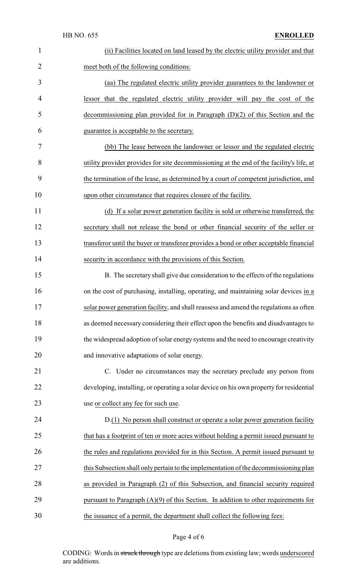| $\mathbf{1}$   | (ii) Facilities located on land leased by the electric utility provider and that         |
|----------------|------------------------------------------------------------------------------------------|
| $\overline{2}$ | meet both of the following conditions:                                                   |
| 3              | (aa) The regulated electric utility provider guarantees to the landowner or              |
| $\overline{4}$ | lessor that the regulated electric utility provider will pay the cost of the             |
| 5              | decommissioning plan provided for in Paragraph $(D)(2)$ of this Section and the          |
| 6              | guarantee is acceptable to the secretary.                                                |
| 7              | (bb) The lease between the landowner or lessor and the regulated electric                |
| 8              | utility provider provides for site decommissioning at the end of the facility's life, at |
| 9              | the termination of the lease, as determined by a court of competent jurisdiction, and    |
| 10             | upon other circumstance that requires closure of the facility.                           |
| 11             | (d) If a solar power generation facility is sold or otherwise transferred, the           |
| 12             | secretary shall not release the bond or other financial security of the seller or        |
| 13             | transferor until the buyer or transferee provides a bond or other acceptable financial   |
| 14             | security in accordance with the provisions of this Section.                              |
| 15             | B. The secretary shall give due consideration to the effects of the regulations          |
| 16             | on the cost of purchasing, installing, operating, and maintaining solar devices in a     |
| 17             | solar power generation facility, and shall reassess and amend the regulations as often   |
| 18             | as deemed necessary considering their effect upon the benefits and disadvantages to      |
| 19             | the widespread adoption of solar energy systems and the need to encourage creativity     |
| 20             | and innovative adaptations of solar energy.                                              |
| 21             | C. Under no circumstances may the secretary preclude any person from                     |
| 22             | developing, installing, or operating a solar device on his own property for residential  |
| 23             | use or collect any fee for such use.                                                     |
| 24             | D.(1) No person shall construct or operate a solar power generation facility             |
| 25             | that has a footprint of ten or more acres without holding a permit issued pursuant to    |
| 26             | the rules and regulations provided for in this Section. A permit issued pursuant to      |
| 27             | this Subsection shall only pertain to the implementation of the decommissioning plan     |
| 28             | as provided in Paragraph (2) of this Subsection, and financial security required         |
| 29             | pursuant to Paragraph $(A)(9)$ of this Section. In addition to other requirements for    |
| 30             | the issuance of a permit, the department shall collect the following fees:               |

# Page 4 of 6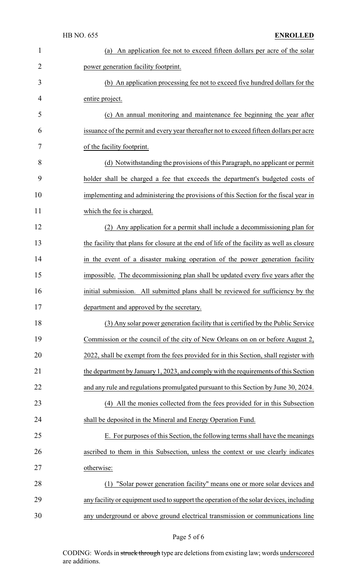| $\mathbf{1}$   | (a) An application fee not to exceed fifteen dollars per acre of the solar                |
|----------------|-------------------------------------------------------------------------------------------|
| $\overline{2}$ | power generation facility footprint.                                                      |
| 3              | (b) An application processing fee not to exceed five hundred dollars for the              |
| 4              | entire project.                                                                           |
| 5              | (c) An annual monitoring and maintenance fee beginning the year after                     |
| 6              | issuance of the permit and every year thereafter not to exceed fifteen dollars per acre   |
| 7              | of the facility footprint.                                                                |
| 8              | (d) Notwithstanding the provisions of this Paragraph, no applicant or permit              |
| 9              | holder shall be charged a fee that exceeds the department's budgeted costs of             |
| 10             | implementing and administering the provisions of this Section for the fiscal year in      |
| 11             | which the fee is charged.                                                                 |
| 12             | Any application for a permit shall include a decommissioning plan for                     |
| 13             | the facility that plans for closure at the end of life of the facility as well as closure |
| 14             | in the event of a disaster making operation of the power generation facility              |
| 15             | impossible. The decommissioning plan shall be updated every five years after the          |
| 16             | initial submission. All submitted plans shall be reviewed for sufficiency by the          |
| 17             | department and approved by the secretary.                                                 |
| 18             | (3) Any solar power generation facility that is certified by the Public Service           |
| 19             | Commission or the council of the city of New Orleans on on or before August 2,            |
| 20             | 2022, shall be exempt from the fees provided for in this Section, shall register with     |
| 21             | the department by January 1, 2023, and comply with the requirements of this Section       |
| 22             | and any rule and regulations promulgated pursuant to this Section by June 30, 2024.       |
| 23             | (4) All the monies collected from the fees provided for in this Subsection                |
| 24             | shall be deposited in the Mineral and Energy Operation Fund.                              |
| 25             | E. For purposes of this Section, the following terms shall have the meanings              |
| 26             | ascribed to them in this Subsection, unless the context or use clearly indicates          |
| 27             | otherwise:                                                                                |
| 28             | "Solar power generation facility" means one or more solar devices and<br>(1)              |
| 29             | any facility or equipment used to support the operation of the solar devices, including   |
|                |                                                                                           |